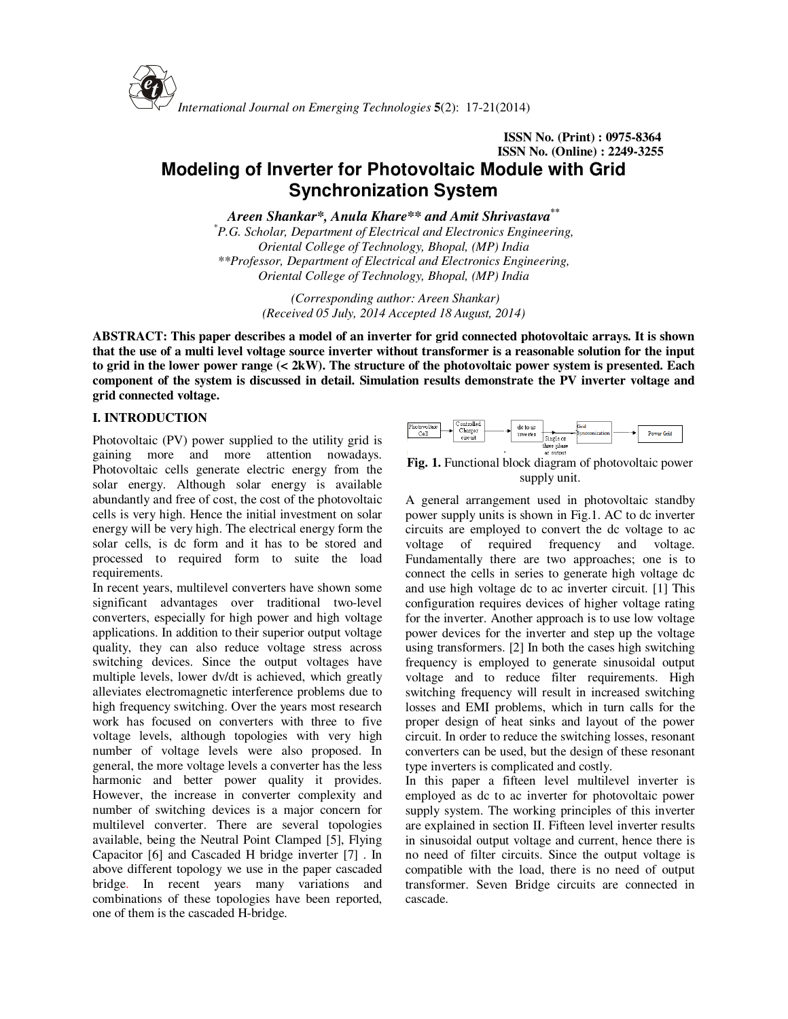

# **ISSN No. (Print) : 0975-8364 ISSN No. (Online) : 2249-3255 Modeling of Inverter for Photovoltaic Module with Grid Synchronization System**

*Areen Shankar\*, Anula Khare\*\* and Amit Shrivastava\*\** 

*\*P.G. Scholar, Department of Electrical and Electronics Engineering, Oriental College of Technology, Bhopal, (MP) India \*\*Professor, Department of Electrical and Electronics Engineering, Oriental College of Technology, Bhopal, (MP) India*

> *(Corresponding author: Areen Shankar) (Received 05 July, 2014 Accepted 18 August, 2014)*

**ABSTRACT: This paper describes a model of an inverter for grid connected photovoltaic arrays. It is shown that the use of a multi level voltage source inverter without transformer is a reasonable solution for the input to grid in the lower power range (< 2kW). The structure of the photovoltaic power system is presented. Each component of the system is discussed in detail. Simulation results demonstrate the PV inverter voltage and grid connected voltage.** 

# **I. INTRODUCTION**

Photovoltaic (PV) power supplied to the utility grid is gaining more and more attention nowadays. Photovoltaic cells generate electric energy from the solar energy. Although solar energy is available abundantly and free of cost, the cost of the photovoltaic cells is very high. Hence the initial investment on solar energy will be very high. The electrical energy form the solar cells, is dc form and it has to be stored and processed to required form to suite the load requirements.

In recent years, multilevel converters have shown some significant advantages over traditional two-level converters, especially for high power and high voltage applications. In addition to their superior output voltage quality, they can also reduce voltage stress across switching devices. Since the output voltages have multiple levels, lower dv/dt is achieved, which greatly alleviates electromagnetic interference problems due to high frequency switching. Over the years most research work has focused on converters with three to five voltage levels, although topologies with very high number of voltage levels were also proposed. In general, the more voltage levels a converter has the less harmonic and better power quality it provides. However, the increase in converter complexity and number of switching devices is a major concern for multilevel converter. There are several topologies available, being the Neutral Point Clamped [5], Flying Capacitor [6] and Cascaded H bridge inverter [7] . In above different topology we use in the paper cascaded bridge. In recent years many variations and combinations of these topologies have been reported, one of them is the cascaded H-bridge.



**Fig. 1.** Functional block diagram of photovoltaic power supply unit.

A general arrangement used in photovoltaic standby power supply units is shown in Fig.1. AC to dc inverter circuits are employed to convert the dc voltage to ac voltage of required frequency and voltage. Fundamentally there are two approaches; one is to connect the cells in series to generate high voltage dc and use high voltage dc to ac inverter circuit. [1] This configuration requires devices of higher voltage rating for the inverter. Another approach is to use low voltage power devices for the inverter and step up the voltage using transformers. [2] In both the cases high switching frequency is employed to generate sinusoidal output voltage and to reduce filter requirements. High switching frequency will result in increased switching losses and EMI problems, which in turn calls for the proper design of heat sinks and layout of the power circuit. In order to reduce the switching losses, resonant converters can be used, but the design of these resonant type inverters is complicated and costly.

In this paper a fifteen level multilevel inverter is employed as dc to ac inverter for photovoltaic power supply system. The working principles of this inverter are explained in section II. Fifteen level inverter results in sinusoidal output voltage and current, hence there is no need of filter circuits. Since the output voltage is compatible with the load, there is no need of output transformer. Seven Bridge circuits are connected in cascade.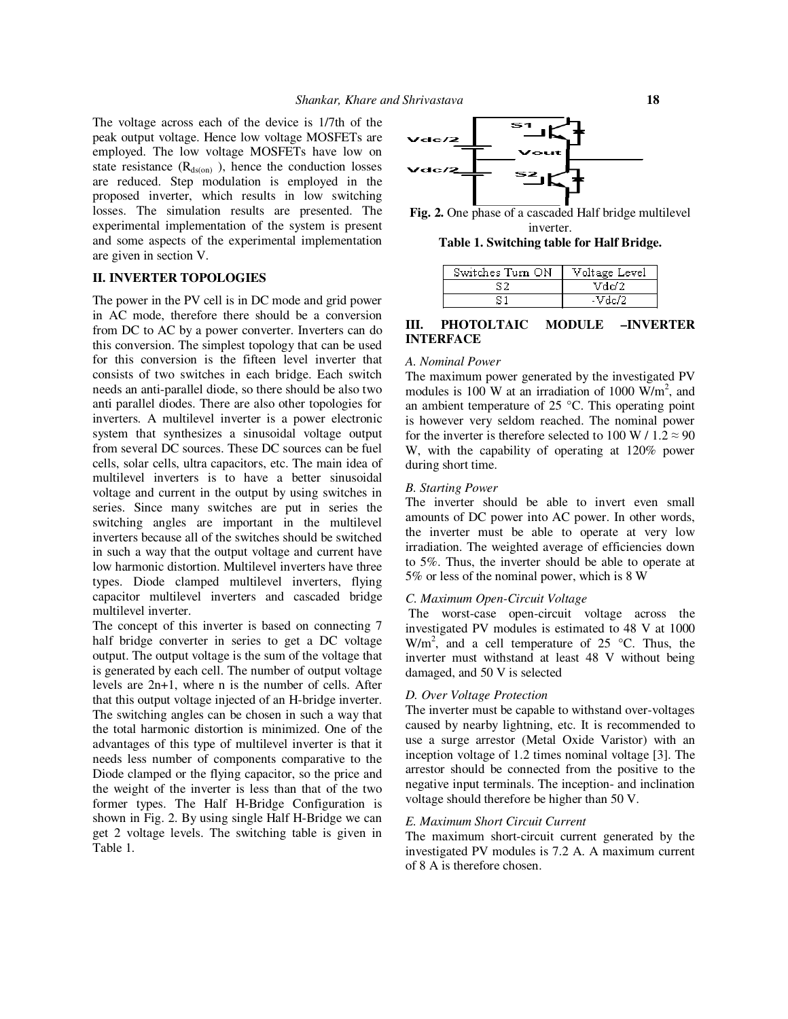The voltage across each of the device is 1/7th of the peak output voltage. Hence low voltage MOSFETs are employed. The low voltage MOSFETs have low on state resistance  $(R<sub>ds(on)</sub>$ , hence the conduction losses are reduced. Step modulation is employed in the proposed inverter, which results in low switching losses. The simulation results are presented. The experimental implementation of the system is present and some aspects of the experimental implementation are given in section V.

### **II. INVERTER TOPOLOGIES**

The power in the PV cell is in DC mode and grid power in AC mode, therefore there should be a conversion from DC to AC by a power converter. Inverters can do this conversion. The simplest topology that can be used for this conversion is the fifteen level inverter that consists of two switches in each bridge. Each switch needs an anti-parallel diode, so there should be also two anti parallel diodes. There are also other topologies for inverters. A multilevel inverter is a power electronic system that synthesizes a sinusoidal voltage output from several DC sources. These DC sources can be fuel cells, solar cells, ultra capacitors, etc. The main idea of multilevel inverters is to have a better sinusoidal voltage and current in the output by using switches in series. Since many switches are put in series the switching angles are important in the multilevel inverters because all of the switches should be switched in such a way that the output voltage and current have low harmonic distortion. Multilevel inverters have three types. Diode clamped multilevel inverters, flying capacitor multilevel inverters and cascaded bridge multilevel inverter.

The concept of this inverter is based on connecting 7 half bridge converter in series to get a DC voltage output. The output voltage is the sum of the voltage that is generated by each cell. The number of output voltage levels are 2n+1, where n is the number of cells. After that this output voltage injected of an H-bridge inverter. The switching angles can be chosen in such a way that the total harmonic distortion is minimized. One of the advantages of this type of multilevel inverter is that it needs less number of components comparative to the Diode clamped or the flying capacitor, so the price and the weight of the inverter is less than that of the two former types. The Half H-Bridge Configuration is shown in Fig. 2. By using single Half H-Bridge we can get 2 voltage levels. The switching table is given in Table 1.



**Fig. 2.** One phase of a cascaded Half bridge multilevel inverter.

**Table 1. Switching table for Half Bridge.** 

| Switches Turn ON | Voltage Level |
|------------------|---------------|
|                  | Vdd2          |
|                  | -Vdc/2        |

# **III. PHOTOLTAIC MODULE –INVERTER INTERFACE**

## *A. Nominal Power*

The maximum power generated by the investigated PV modules is 100 W at an irradiation of 1000  $\text{W/m}^2$ , and an ambient temperature of 25 °C. This operating point is however very seldom reached. The nominal power for the inverter is therefore selected to 100 W /  $1.2 \approx 90$ W, with the capability of operating at 120% power during short time.

#### *B. Starting Power*

The inverter should be able to invert even small amounts of DC power into AC power. In other words, the inverter must be able to operate at very low irradiation. The weighted average of efficiencies down to 5%. Thus, the inverter should be able to operate at 5% or less of the nominal power, which is 8 W

#### *C. Maximum Open-Circuit Voltage*

 The worst-case open-circuit voltage across the investigated PV modules is estimated to 48 V at 1000  $W/m<sup>2</sup>$ , and a cell temperature of 25 °C. Thus, the inverter must withstand at least 48 V without being damaged, and 50 V is selected

#### *D. Over Voltage Protection*

The inverter must be capable to withstand over-voltages caused by nearby lightning, etc. It is recommended to use a surge arrestor (Metal Oxide Varistor) with an inception voltage of 1.2 times nominal voltage [3]. The arrestor should be connected from the positive to the negative input terminals. The inception- and inclination voltage should therefore be higher than 50 V.

#### *E. Maximum Short Circuit Current*

The maximum short-circuit current generated by the investigated PV modules is 7.2 A. A maximum current of 8 A is therefore chosen.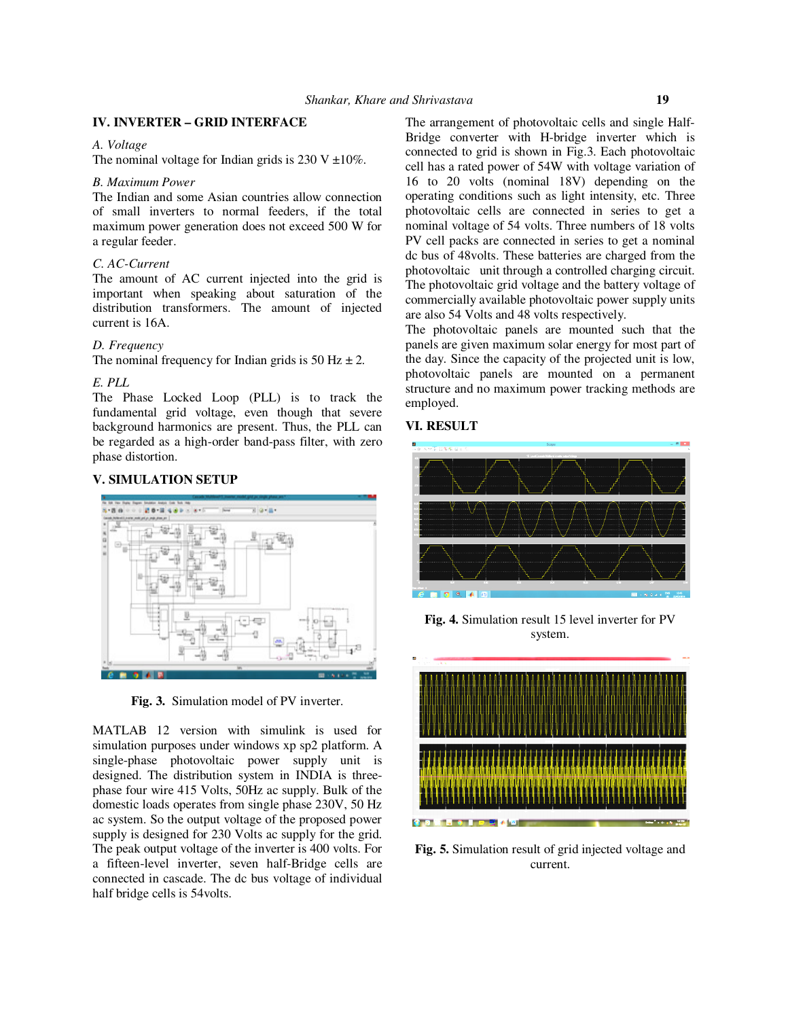# **IV. INVERTER – GRID INTERFACE**

#### *A. Voltage*

The nominal voltage for Indian grids is 230 V  $\pm 10\%$ .

#### *B. Maximum Power*

The Indian and some Asian countries allow connection of small inverters to normal feeders, if the total maximum power generation does not exceed 500 W for a regular feeder.

# *C. AC-Current*

The amount of AC current injected into the grid is important when speaking about saturation of the distribution transformers. The amount of injected current is 16A.

## *D. Frequency*

The nominal frequency for Indian grids is 50 Hz  $\pm$  2.

#### *E. PLL*

The Phase Locked Loop (PLL) is to track the fundamental grid voltage, even though that severe background harmonics are present. Thus, the PLL can be regarded as a high-order band-pass filter, with zero phase distortion.

#### **V. SIMULATION SETUP**



**Fig. 3.** Simulation model of PV inverter.

MATLAB 12 version with simulink is used for simulation purposes under windows xp sp2 platform. A single-phase photovoltaic power supply unit is designed. The distribution system in INDIA is threephase four wire 415 Volts, 50Hz ac supply. Bulk of the domestic loads operates from single phase 230V, 50 Hz ac system. So the output voltage of the proposed power supply is designed for 230 Volts ac supply for the grid. The peak output voltage of the inverter is 400 volts. For a fifteen-level inverter, seven half-Bridge cells are connected in cascade. The dc bus voltage of individual half bridge cells is 54volts.

The arrangement of photovoltaic cells and single Half-Bridge converter with H-bridge inverter which is connected to grid is shown in Fig.3. Each photovoltaic cell has a rated power of 54W with voltage variation of 16 to 20 volts (nominal 18V) depending on the operating conditions such as light intensity, etc. Three photovoltaic cells are connected in series to get a nominal voltage of 54 volts. Three numbers of 18 volts PV cell packs are connected in series to get a nominal dc bus of 48volts. These batteries are charged from the photovoltaic unit through a controlled charging circuit. The photovoltaic grid voltage and the battery voltage of commercially available photovoltaic power supply units are also 54 Volts and 48 volts respectively.

The photovoltaic panels are mounted such that the panels are given maximum solar energy for most part of the day. Since the capacity of the projected unit is low, photovoltaic panels are mounted on a permanent structure and no maximum power tracking methods are employed.

# **VI. RESULT**



**Fig. 4.** Simulation result 15 level inverter for PV system.



**Fig. 5.** Simulation result of grid injected voltage and current.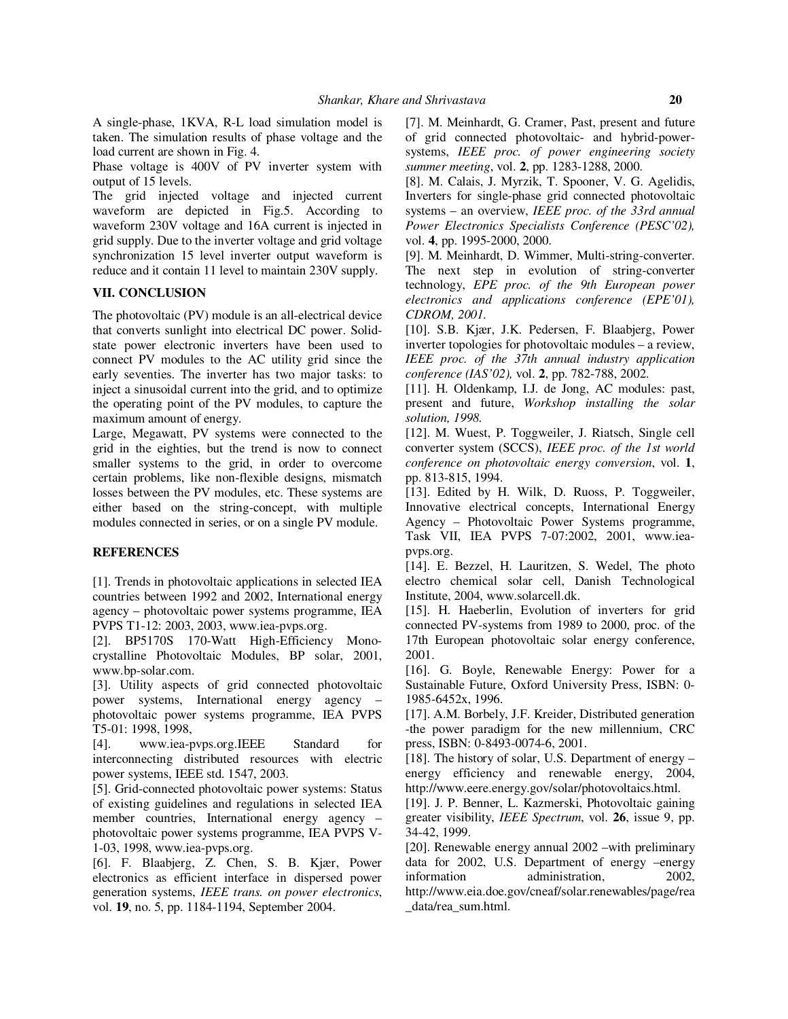A single-phase, 1KVA, R-L load simulation model is taken. The simulation results of phase voltage and the load current are shown in Fig. 4.

Phase voltage is 400V of PV inverter system with output of 15 levels.

The grid injected voltage and injected current waveform are depicted in Fig.5. According to waveform 230V voltage and 16A current is injected in grid supply. Due to the inverter voltage and grid voltage synchronization 15 level inverter output waveform is reduce and it contain 11 level to maintain 230V supply.

## **VII. CONCLUSION**

The photovoltaic (PV) module is an all-electrical device that converts sunlight into electrical DC power. Solidstate power electronic inverters have been used to connect PV modules to the AC utility grid since the early seventies. The inverter has two major tasks: to inject a sinusoidal current into the grid, and to optimize the operating point of the PV modules, to capture the maximum amount of energy.

Large, Megawatt, PV systems were connected to the grid in the eighties, but the trend is now to connect smaller systems to the grid, in order to overcome certain problems, like non-flexible designs, mismatch losses between the PV modules, etc. These systems are either based on the string-concept, with multiple modules connected in series, or on a single PV module.

# **REFERENCES**

[1]. Trends in photovoltaic applications in selected IEA countries between 1992 and 2002, International energy agency – photovoltaic power systems programme, IEA PVPS T1-12: 2003, 2003, www.iea-pvps.org.

[2]. BP5170S 170-Watt High-Efficiency Monocrystalline Photovoltaic Modules, BP solar, 2001, www.bp-solar.com.

[3]. Utility aspects of grid connected photovoltaic power systems, International energy agency – photovoltaic power systems programme, IEA PVPS T5-01: 1998, 1998,

[4]. www.iea-pvps.org.IEEE Standard for interconnecting distributed resources with electric power systems, IEEE std. 1547, 2003.

[5]. Grid-connected photovoltaic power systems: Status of existing guidelines and regulations in selected IEA member countries, International energy agency – photovoltaic power systems programme, IEA PVPS V-1-03, 1998, www.iea-pvps.org.

[6]. F. Blaabjerg, Z. Chen, S. B. Kjær, Power electronics as efficient interface in dispersed power generation systems, *IEEE trans. on power electronics*, vol. **19**, no. 5, pp. 1184-1194, September 2004.

[7]. M. Meinhardt, G. Cramer, Past, present and future of grid connected photovoltaic- and hybrid-powersystems, *IEEE proc. of power engineering society summer meeting*, vol. **2**, pp. 1283-1288, 2000.

[8]. M. Calais, J. Myrzik, T. Spooner, V. G. Agelidis, Inverters for single-phase grid connected photovoltaic systems – an overview, *IEEE proc. of the 33rd annual Power Electronics Specialists Conference (PESC'02),* vol. **4**, pp. 1995-2000, 2000.

[9]. M. Meinhardt, D. Wimmer, Multi-string-converter. The next step in evolution of string-converter technology, *EPE proc. of the 9th European power electronics and applications conference (EPE'01), CDROM, 2001.* 

[10]. S.B. Kjær, J.K. Pedersen, F. Blaabjerg, Power inverter topologies for photovoltaic modules – a review, *IEEE proc. of the 37th annual industry application conference (IAS'02),* vol. **2**, pp. 782-788, 2002.

[11]. H. Oldenkamp, I.J. de Jong, AC modules: past, present and future, *Workshop installing the solar solution, 1998.* 

[12]. M. Wuest, P. Toggweiler, J. Riatsch, Single cell converter system (SCCS), *IEEE proc. of the 1st world conference on photovoltaic energy conversion*, vol. **1**, pp. 813-815, 1994.

[13]. Edited by H. Wilk, D. Ruoss, P. Toggweiler, Innovative electrical concepts, International Energy Agency – Photovoltaic Power Systems programme, Task VII, IEA PVPS 7-07:2002, 2001, www.ieapvps.org.

[14]. E. Bezzel, H. Lauritzen, S. Wedel, The photo electro chemical solar cell, Danish Technological Institute, 2004, www.solarcell.dk.

[15]. H. Haeberlin, Evolution of inverters for grid connected PV-systems from 1989 to 2000, proc. of the 17th European photovoltaic solar energy conference, 2001.

[16]. G. Boyle, Renewable Energy: Power for a Sustainable Future, Oxford University Press, ISBN: 0- 1985-6452x, 1996.

[17]. A.M. Borbely, J.F. Kreider, Distributed generation -the power paradigm for the new millennium, CRC press, ISBN: 0-8493-0074-6, 2001.

[18]. The history of solar, U.S. Department of energy  $$ energy efficiency and renewable energy, 2004, http://www.eere.energy.gov/solar/photovoltaics.html.

[19]. J. P. Benner, L. Kazmerski, Photovoltaic gaining greater visibility, *IEEE Spectrum*, vol. **26**, issue 9, pp. 34-42, 1999.

[20]. Renewable energy annual 2002 –with preliminary data for 2002, U.S. Department of energy –energy information administration, 2002, http://www.eia.doe.gov/cneaf/solar.renewables/page/rea \_data/rea\_sum.html.